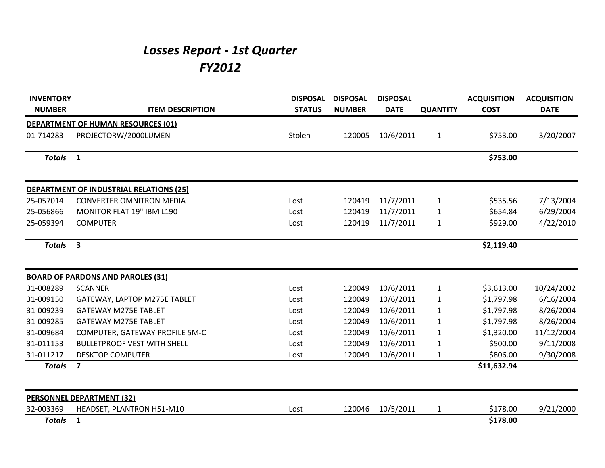## *Losses Report - 1st Quarter FY2012*

| <b>INVENTORY</b> |                                           | <b>DISPOSAL</b> | <b>DISPOSAL</b> | <b>DISPOSAL</b> |                 | <b>ACQUISITION</b> | <b>ACQUISITION</b> |
|------------------|-------------------------------------------|-----------------|-----------------|-----------------|-----------------|--------------------|--------------------|
| <b>NUMBER</b>    | <b>ITEM DESCRIPTION</b>                   | <b>STATUS</b>   | <b>NUMBER</b>   | <b>DATE</b>     | <b>QUANTITY</b> | <b>COST</b>        | <b>DATE</b>        |
|                  | <b>DEPARTMENT OF HUMAN RESOURCES (01)</b> |                 |                 |                 |                 |                    |                    |
| 01-714283        | PROJECTORW/2000LUMEN                      | Stolen          | 120005          | 10/6/2011       | $\mathbf{1}$    | \$753.00           | 3/20/2007          |
| <b>Totals</b>    | $\mathbf{1}$                              |                 |                 |                 |                 | \$753.00           |                    |
|                  | DEPARTMENT OF INDUSTRIAL RELATIONS (25)   |                 |                 |                 |                 |                    |                    |
| 25-057014        | <b>CONVERTER OMNITRON MEDIA</b>           | Lost            | 120419          | 11/7/2011       | $\mathbf{1}$    | \$535.56           | 7/13/2004          |
| 25-056866        | MONITOR FLAT 19" IBM L190                 | Lost            | 120419          | 11/7/2011       | $\mathbf{1}$    | \$654.84           | 6/29/2004          |
| 25-059394        | <b>COMPUTER</b>                           | Lost            | 120419          | 11/7/2011       | $\mathbf{1}$    | \$929.00           | 4/22/2010          |
| <b>Totals</b>    | $\overline{\mathbf{3}}$                   |                 |                 |                 |                 | \$2,119.40         |                    |
|                  | <b>BOARD OF PARDONS AND PAROLES (31)</b>  |                 |                 |                 |                 |                    |                    |
| 31-008289        | <b>SCANNER</b>                            | Lost            | 120049          | 10/6/2011       | $\mathbf{1}$    | \$3,613.00         | 10/24/2002         |
| 31-009150        | GATEWAY, LAPTOP M275E TABLET              | Lost            | 120049          | 10/6/2011       | $\mathbf{1}$    | \$1,797.98         | 6/16/2004          |
| 31-009239        | <b>GATEWAY M275E TABLET</b>               | Lost            | 120049          | 10/6/2011       | $\mathbf{1}$    | \$1,797.98         | 8/26/2004          |
| 31-009285        | <b>GATEWAY M275E TABLET</b>               | Lost            | 120049          | 10/6/2011       | $\mathbf{1}$    | \$1,797.98         | 8/26/2004          |
| 31-009684        | COMPUTER, GATEWAY PROFILE 5M-C            | Lost            | 120049          | 10/6/2011       | $\mathbf{1}$    | \$1,320.00         | 11/12/2004         |
| 31-011153        | <b>BULLETPROOF VEST WITH SHELL</b>        | Lost            | 120049          | 10/6/2011       | $\mathbf{1}$    | \$500.00           | 9/11/2008          |
| 31-011217        | <b>DESKTOP COMPUTER</b>                   | Lost            | 120049          | 10/6/2011       | $\mathbf{1}$    | \$806.00           | 9/30/2008          |
| <b>Totals</b>    | $\overline{\mathbf{z}}$                   |                 |                 |                 |                 | \$11,632.94        |                    |
|                  | <b>PERSONNEL DEPARTMENT (32)</b>          |                 |                 |                 |                 |                    |                    |
| 32-003369        | HEADSET, PLANTRON H51-M10                 | Lost            | 120046          | 10/5/2011       | $\mathbf{1}$    | \$178.00           | 9/21/2000          |
| <b>Totals</b>    | $\mathbf{1}$                              |                 |                 |                 |                 | \$178.00           |                    |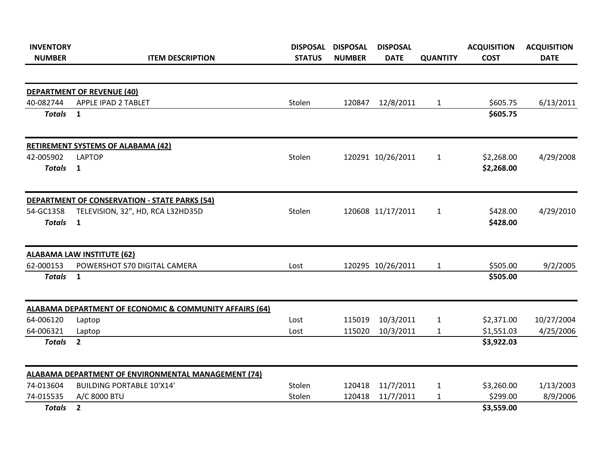| <b>INVENTORY</b> |                                                            | <b>DISPOSAL</b> | <b>DISPOSAL</b> | <b>DISPOSAL</b>   |                 | <b>ACQUISITION</b> | <b>ACQUISITION</b> |
|------------------|------------------------------------------------------------|-----------------|-----------------|-------------------|-----------------|--------------------|--------------------|
| <b>NUMBER</b>    | <b>ITEM DESCRIPTION</b>                                    | <b>STATUS</b>   | <b>NUMBER</b>   | <b>DATE</b>       | <b>QUANTITY</b> | <b>COST</b>        | <b>DATE</b>        |
|                  | <b>DEPARTMENT OF REVENUE (40)</b>                          |                 |                 |                   |                 |                    |                    |
| 40-082744        | APPLE IPAD 2 TABLET                                        | Stolen          | 120847          | 12/8/2011         | $\mathbf{1}$    | \$605.75           | 6/13/2011          |
| <b>Totals</b>    | $\mathbf{1}$                                               |                 |                 |                   |                 | \$605.75           |                    |
|                  | <b>RETIREMENT SYSTEMS OF ALABAMA (42)</b>                  |                 |                 |                   |                 |                    |                    |
| 42-005902        | <b>LAPTOP</b>                                              | Stolen          |                 | 120291 10/26/2011 | $\mathbf{1}$    | \$2,268.00         | 4/29/2008          |
| <b>Totals</b>    | $\overline{\mathbf{1}}$                                    |                 |                 |                   |                 | \$2,268.00         |                    |
|                  | <b>DEPARTMENT OF CONSERVATION - STATE PARKS (54)</b>       |                 |                 |                   |                 |                    |                    |
| 54-GC1358        | TELEVISION, 32", HD, RCA L32HD35D                          | Stolen          |                 | 120608 11/17/2011 | $\mathbf{1}$    | \$428.00           | 4/29/2010          |
| <b>Totals</b>    | $\mathbf{1}$                                               |                 |                 |                   |                 | \$428.00           |                    |
|                  | <b>ALABAMA LAW INSTITUTE (62)</b>                          |                 |                 |                   |                 |                    |                    |
| 62-000153        | POWERSHOT S70 DIGITAL CAMERA                               | Lost            |                 | 120295 10/26/2011 | $\mathbf{1}$    | \$505.00           | 9/2/2005           |
| <b>Totals</b>    | 1                                                          |                 |                 |                   |                 | \$505.00           |                    |
|                  | ALABAMA DEPARTMENT OF ECONOMIC & COMMUNITY AFFAIRS (64)    |                 |                 |                   |                 |                    |                    |
| 64-006120        | Laptop                                                     | Lost            | 115019          | 10/3/2011         | $\mathbf{1}$    | \$2,371.00         | 10/27/2004         |
| 64-006321        | Laptop                                                     | Lost            | 115020          | 10/3/2011         | $\mathbf{1}$    | \$1,551.03         | 4/25/2006          |
| <b>Totals</b>    | $\overline{2}$                                             |                 |                 |                   |                 | \$3,922.03         |                    |
|                  | <b>ALABAMA DEPARTMENT OF ENVIRONMENTAL MANAGEMENT (74)</b> |                 |                 |                   |                 |                    |                    |
| 74-013604        | <b>BUILDING PORTABLE 10'X14'</b>                           | Stolen          | 120418          | 11/7/2011         | $\mathbf{1}$    | \$3,260.00         | 1/13/2003          |
| 74-015535        | A/C 8000 BTU                                               | Stolen          | 120418          | 11/7/2011         | $\mathbf{1}$    | \$299.00           | 8/9/2006           |
| <b>Totals</b>    | $\overline{2}$                                             |                 |                 |                   |                 | \$3,559.00         |                    |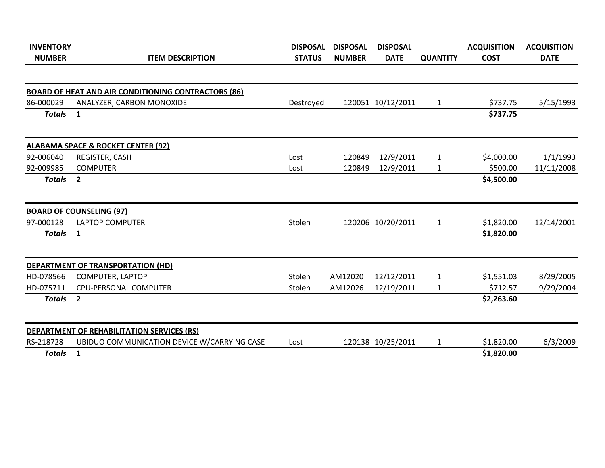| <b>INVENTORY</b> |                                                            | <b>DISPOSAL</b> | <b>DISPOSAL</b> | <b>DISPOSAL</b>   |                 | <b>ACQUISITION</b> | <b>ACQUISITION</b> |
|------------------|------------------------------------------------------------|-----------------|-----------------|-------------------|-----------------|--------------------|--------------------|
| <b>NUMBER</b>    | <b>ITEM DESCRIPTION</b>                                    | <b>STATUS</b>   | <b>NUMBER</b>   | <b>DATE</b>       | <b>QUANTITY</b> | <b>COST</b>        | <b>DATE</b>        |
|                  | <b>BOARD OF HEAT AND AIR CONDITIONING CONTRACTORS (86)</b> |                 |                 |                   |                 |                    |                    |
| 86-000029        | ANALYZER, CARBON MONOXIDE                                  | Destroyed       |                 | 120051 10/12/2011 | $\mathbf{1}$    | \$737.75           | 5/15/1993          |
| <b>Totals</b>    | $\mathbf{1}$                                               |                 |                 |                   |                 | \$737.75           |                    |
|                  | <b>ALABAMA SPACE &amp; ROCKET CENTER (92)</b>              |                 |                 |                   |                 |                    |                    |
| 92-006040        | REGISTER, CASH                                             | Lost            | 120849          | 12/9/2011         | $\mathbf{1}$    | \$4,000.00         | 1/1/1993           |
| 92-009985        | <b>COMPUTER</b>                                            | Lost            | 120849          | 12/9/2011         | $\mathbf{1}$    | \$500.00           | 11/11/2008         |
| <b>Totals</b>    | $\overline{2}$                                             |                 |                 |                   |                 | \$4,500.00         |                    |
|                  | <b>BOARD OF COUNSELING (97)</b>                            |                 |                 |                   |                 |                    |                    |
| 97-000128        | <b>LAPTOP COMPUTER</b>                                     | Stolen          |                 | 120206 10/20/2011 | $\mathbf{1}$    | \$1,820.00         | 12/14/2001         |
| <b>Totals</b>    | 1                                                          |                 |                 |                   |                 | \$1,820.00         |                    |
|                  | DEPARTMENT OF TRANSPORTATION (HD)                          |                 |                 |                   |                 |                    |                    |
| HD-078566        | COMPUTER, LAPTOP                                           | Stolen          | AM12020         | 12/12/2011        | $\mathbf{1}$    | \$1,551.03         | 8/29/2005          |
| HD-075711        | CPU-PERSONAL COMPUTER                                      | Stolen          | AM12026         | 12/19/2011        | $\mathbf{1}$    | \$712.57           | 9/29/2004          |
| <b>Totals</b>    | $\overline{2}$                                             |                 |                 |                   |                 | \$2,263.60         |                    |
|                  | <b>DEPARTMENT OF REHABILITATION SERVICES (RS)</b>          |                 |                 |                   |                 |                    |                    |
| RS-218728        | UBIDUO COMMUNICATION DEVICE W/CARRYING CASE                | Lost            |                 | 120138 10/25/2011 | $\mathbf{1}$    | \$1,820.00         | 6/3/2009           |
| <b>Totals</b>    | $\mathbf{1}$                                               |                 |                 |                   |                 | \$1,820.00         |                    |